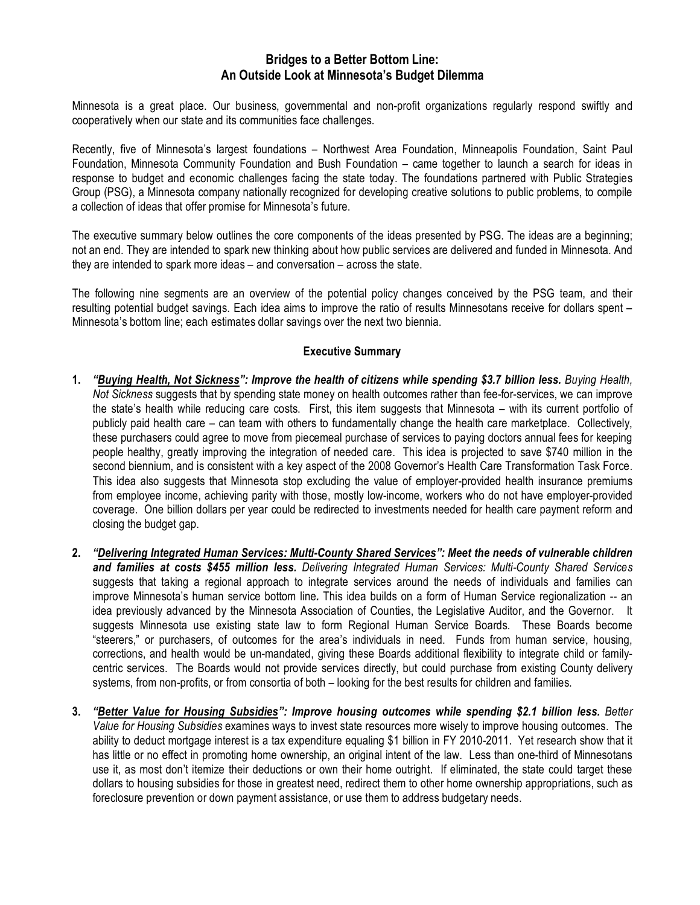## **Bridges to a Better Bottom Line: An Outside Look at Minnesota's Budget Dilemma**

Minnesota is a great place. Our business, governmental and non-profit organizations regularly respond swiftly and cooperatively when our state and its communities face challenges.

Recently, five of Minnesota's largest foundations – Northwest Area Foundation, Minneapolis Foundation, Saint Paul Foundation, Minnesota Community Foundation and Bush Foundation – came together to launch a search for ideas in response to budget and economic challenges facing the state today. The foundations partnered with Public Strategies Group (PSG), a Minnesota company nationally recognized for developing creative solutions to public problems, to compile a collection of ideas that offer promise for Minnesota's future.

The executive summary below outlines the core components of the ideas presented by PSG. The ideas are a beginning; not an end. They are intended to spark new thinking about how public services are delivered and funded in Minnesota. And they are intended to spark more ideas – and conversation – across the state.

The following nine segments are an overview of the potential policy changes conceived by the PSG team, and their resulting potential budget savings. Each idea aims to improve the ratio of results Minnesotans receive for dollars spent – Minnesota's bottom line; each estimates dollar savings over the next two biennia.

## **Executive Summary**

- 1. "Buying Health, Not Sickness": Improve the health of citizens while spending \$3.7 billion less. Buying Health, *Not Sickness* suggests that by spending state money on health outcomes rather than fee-for-services, we can improve the state's health while reducing care costs. First, this item suggests that Minnesota – with its current portfolio of publicly paid health care – can team with others to fundamentally change the health care marketplace. Collectively, these purchasers could agree to move from piecemeal purchase of services to paying doctors annual fees for keeping people healthy, greatly improving the integration of needed care. This idea is projected to save \$740 million in the second biennium, and is consistent with a key aspect of the 2008 Governor's Health Care Transformation Task Force. This idea also suggests that Minnesota stop excluding the value of employer-provided health insurance premiums from employee income, achieving parity with those, mostly low-income, workers who do not have employer-provided coverage. One billion dollars per year could be redirected to investments needed for health care payment reform and closing the budget gap.
- **2.** *"Delivering Integrated Human Services: Multi-County Shared Services": Meet the needs of vulnerable children and families at costs \$455 million less. Delivering Integrated Human Services: Multi-County Shared Services* suggests that taking a regional approach to integrate services around the needs of individuals and families can improve Minnesota's human service bottom line*.* This idea builds on a form of Human Service regionalization -- an idea previously advanced by the Minnesota Association of Counties, the Legislative Auditor, and the Governor. It suggests Minnesota use existing state law to form Regional Human Service Boards. These Boards become "steerers," or purchasers, of outcomes for the area's individuals in need. Funds from human service, housing, corrections, and health would be un-mandated, giving these Boards additional flexibility to integrate child or familycentric services. The Boards would not provide services directly, but could purchase from existing County delivery systems, from non-profits, or from consortia of both – looking for the best results for children and families.
- **3.** *"Better Value for Housing Subsidies": Improve housing outcomes while spending \$2.1 billion less. Better Value for Housing Subsidies* examines ways to invest state resources more wisely to improve housing outcomes. The ability to deduct mortgage interest is a tax expenditure equaling \$1 billion in FY 2010-2011. Yet research show that it has little or no effect in promoting home ownership, an original intent of the law. Less than one-third of Minnesotans use it, as most don't itemize their deductions or own their home outright. If eliminated, the state could target these dollars to housing subsidies for those in greatest need, redirect them to other home ownership appropriations, such as foreclosure prevention or down payment assistance, or use them to address budgetary needs.